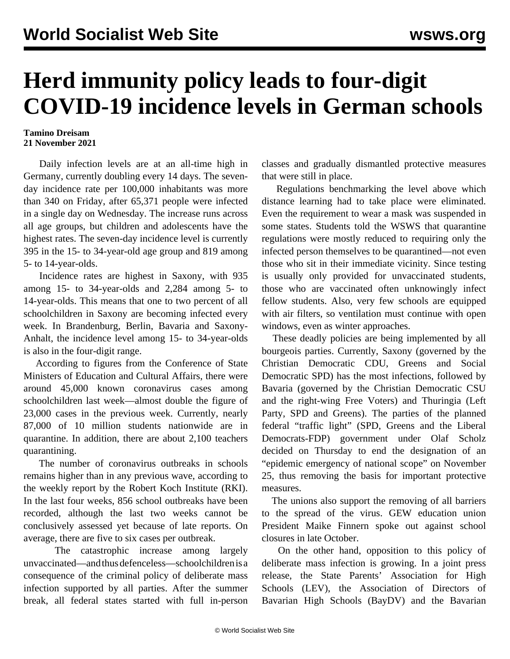## **Herd immunity policy leads to four-digit COVID-19 incidence levels in German schools**

## **Tamino Dreisam 21 November 2021**

 Daily infection levels are at an all-time high in Germany, currently doubling every 14 days. The sevenday incidence rate per 100,000 inhabitants was more than 340 on Friday, after 65,371 people were infected in a single day on Wednesday. The increase runs across all age groups, but children and adolescents have the highest rates. The seven-day incidence level is currently 395 in the 15- to 34-year-old age group and 819 among 5- to 14-year-olds.

 Incidence rates are highest in Saxony, with 935 among 15- to 34-year-olds and 2,284 among 5- to 14-year-olds. This means that one to two percent of all schoolchildren in Saxony are becoming infected every week. In Brandenburg, Berlin, Bavaria and Saxony-Anhalt, the incidence level among 15- to 34-year-olds is also in the four-digit range.

 According to figures from the Conference of State Ministers of Education and Cultural Affairs, there were around 45,000 known coronavirus cases among schoolchildren last week—almost double the figure of 23,000 cases in the previous week. Currently, nearly 87,000 of 10 million students nationwide are in quarantine. In addition, there are about 2,100 teachers quarantining.

 The number of coronavirus outbreaks in schools remains higher than in any previous wave, according to the weekly report by the Robert Koch Institute (RKI). In the last four weeks, 856 school outbreaks have been recorded, although the last two weeks cannot be conclusively assessed yet because of late reports. On average, there are five to six cases per outbreak.

 The catastrophic increase among largely unvaccinated—and thus defenceless—schoolchildren is a consequence of the criminal policy of deliberate mass infection supported by all parties. After the summer break, all federal states started with full in-person

classes and gradually dismantled protective measures that were still in place.

 Regulations benchmarking the level above which distance learning had to take place were eliminated. Even the requirement to wear a mask was suspended in some states. Students told the WSWS that quarantine regulations were mostly reduced to requiring only the infected person themselves to be quarantined—not even those who sit in their immediate vicinity. Since testing is usually only provided for unvaccinated students, those who are vaccinated often unknowingly infect fellow students. Also, very few schools are equipped with air filters, so ventilation must continue with open windows, even as winter approaches.

 These deadly policies are being implemented by all bourgeois parties. Currently, Saxony (governed by the Christian Democratic CDU, Greens and Social Democratic SPD) has the most infections, followed by Bavaria (governed by the Christian Democratic CSU and the right-wing Free Voters) and Thuringia (Left Party, SPD and Greens). The parties of the planned federal "traffic light" (SPD, Greens and the Liberal Democrats-FDP) government under Olaf Scholz decided on Thursday to end the designation of an "epidemic emergency of national scope" on November 25, thus removing the basis for important protective measures.

 The unions also support the removing of all barriers to the spread of the virus. GEW education union President Maike Finnern spoke out against school closures in late October.

 On the other hand, opposition to this policy of deliberate mass infection is growing. In a joint press release, the State Parents' Association for High Schools (LEV), the Association of Directors of Bavarian High Schools (BayDV) and the Bavarian